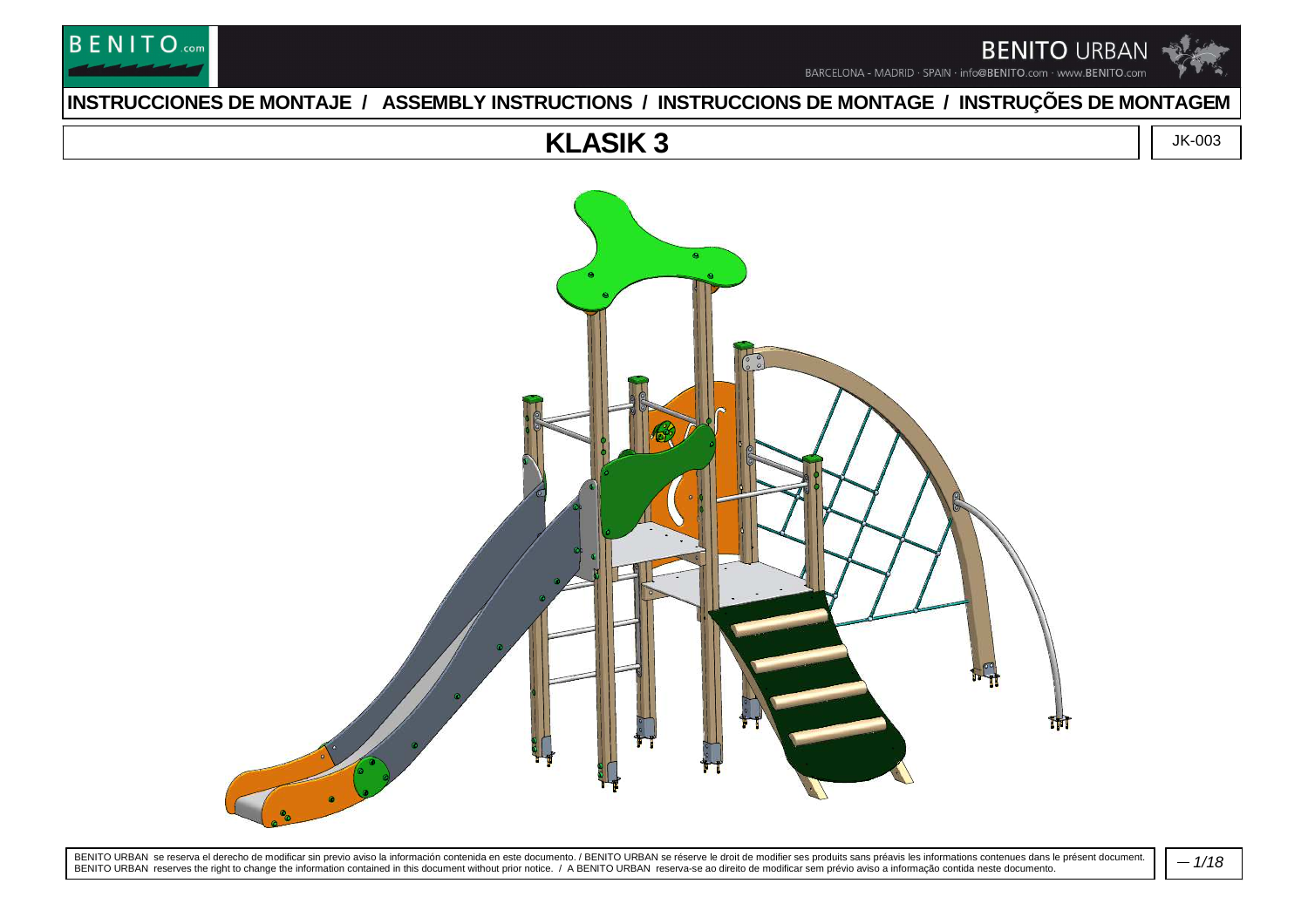

### **INSTRUCCIONES DE MONTAJE / ASSEMBLY INSTRUCTIONS / INSTRUCCIONS DE MONTAGE / INSTRUÇÕES DE MONTAGEM**

### **KLASIK 3**

**BENITO**.com

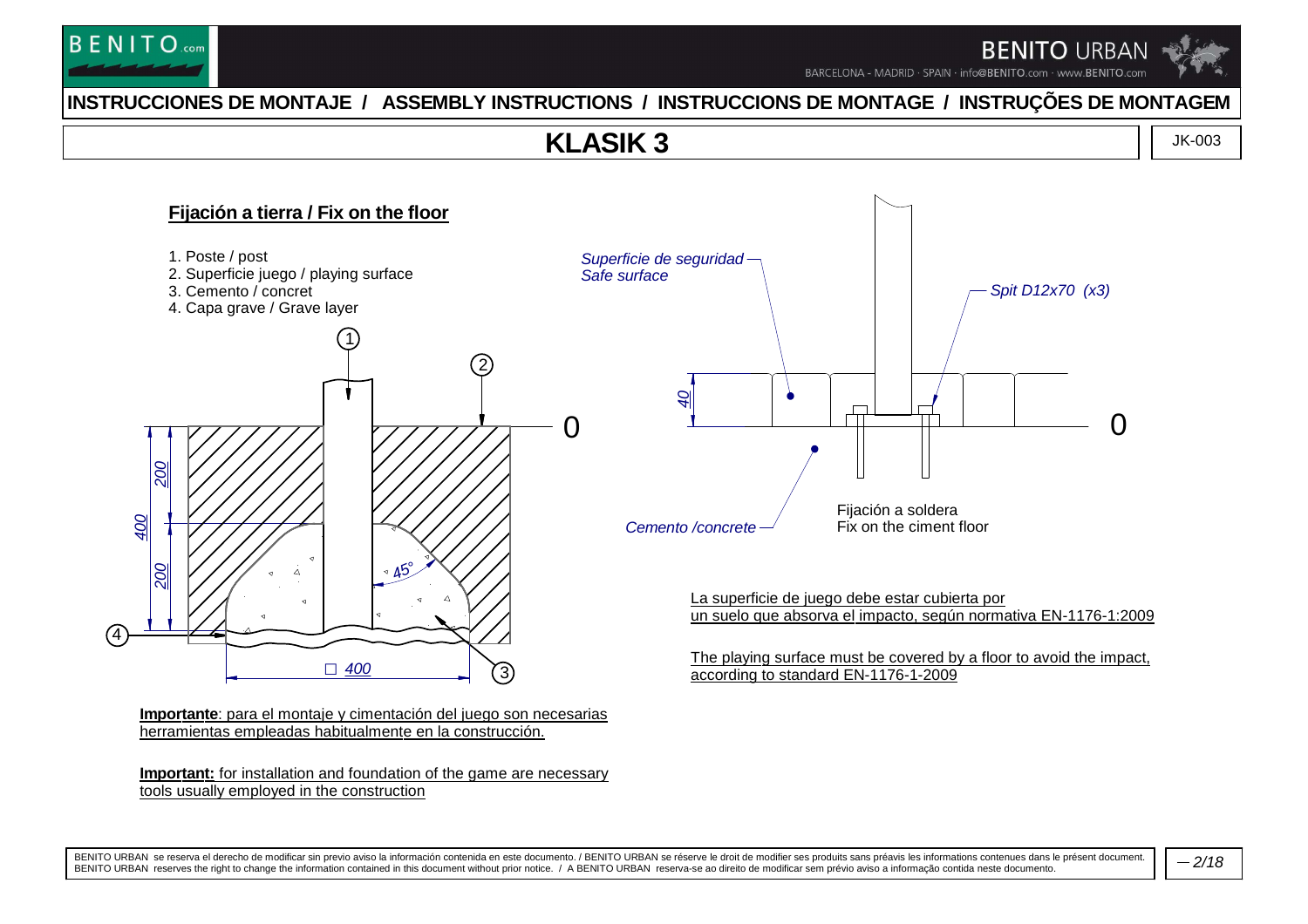

BARCELONA - MADRID · SPAIN · info@BENITO.com · www.BENITO.com

### **INSTRUCCIONES DE MONTAJE / ASSEMBLY INSTRUCTIONS / INSTRUCCIONS DE MONTAGE / INSTRUÇÕES DE MONTAGEM**

### **KLASIK 3**

JK-003



**Important:** for installation and foundation of the game are necessarytools usually employed in the construction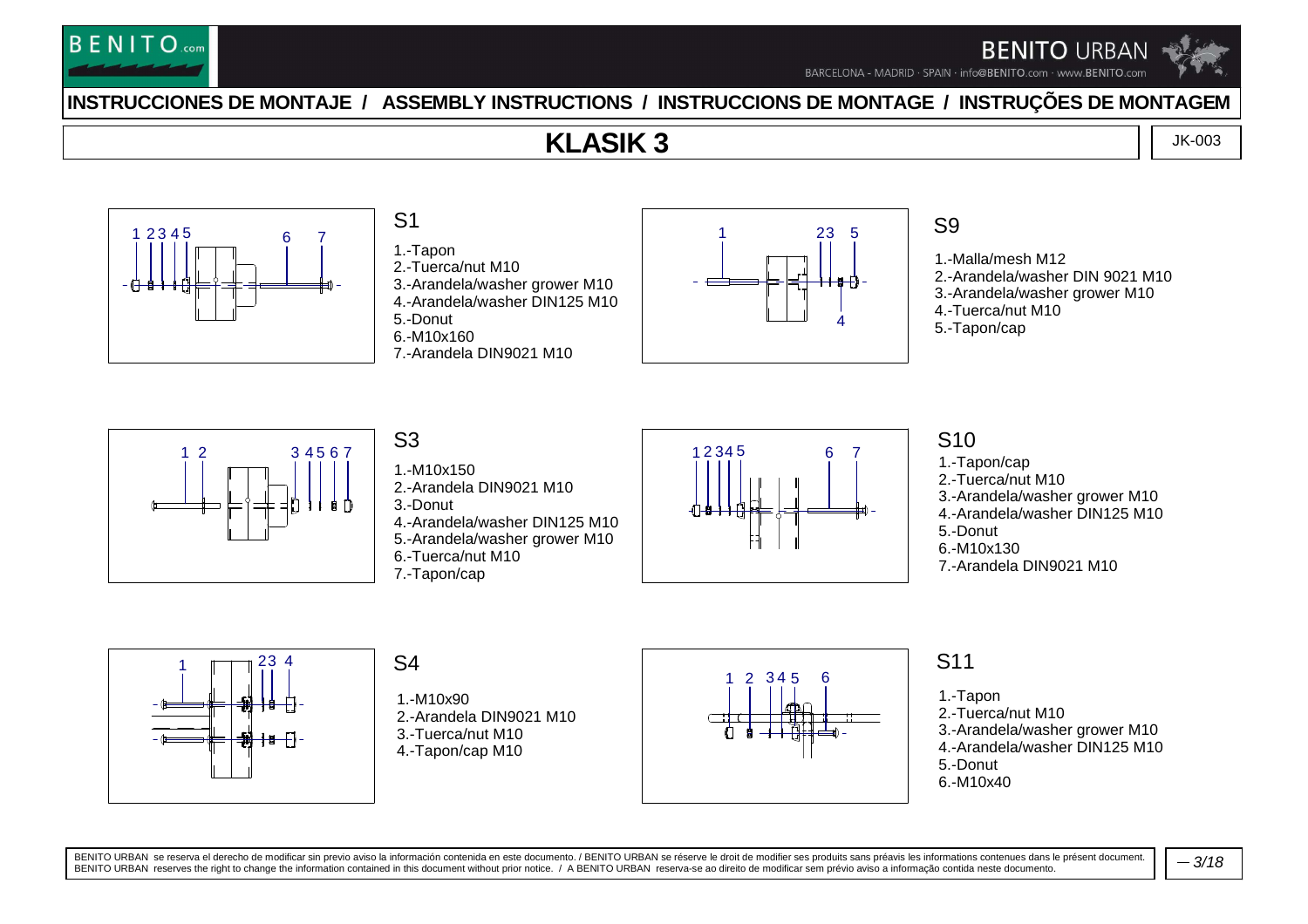

BARCELONA - MADRID · SPAIN · info@BENITO.com · www.BENITO.com

### **INSTRUCCIONES DE MONTAJE / ASSEMBLY INSTRUCTIONS / INSTRUCCIONS DE MONTAGE / INSTRUÇÕES DE MONTAGEM**

### **KLASIK 3**

JK-003



## S1

1.-Tapon 2.-Tuerca/nut M10 3.-Arandela/washer grower M10 4.-Arandela/washer DIN125 M105.-Donut 6.-M10x1607.-Arandela DIN9021 M10



#### S9

1.-Malla/mesh M12 2.-Arandela/washer DIN 9021 M103.-Arandela/washer grower M104.-Tuerca/nut M105.-Tapon/cap



1.-M10x150

2.-Arandela DIN9021 M10

3.-Donut

4.-Arandela/washer DIN125 M10

 5.-Arandela/washer grower M106.-Tuerca/nut M10

7.-Tapon/cap



#### S10

 1.-Tapon/cap 2.-Tuerca/nut M10 3.-Arandela/washer grower M10 4.-Arandela/washer DIN125 M105.-Donut 6.-M10x1307.-Arandela DIN9021 M10



#### S4

1.-M10x90 2.-Arandela DIN9021 M103.-Tuerca/nut M104.-Tapon/cap M10



### S11

1.-Tapon 2.-Tuerca/nut M10 3.-Arandela/washer grower M10 4.-Arandela/washer DIN125 M105.-Donut

6.-M10x40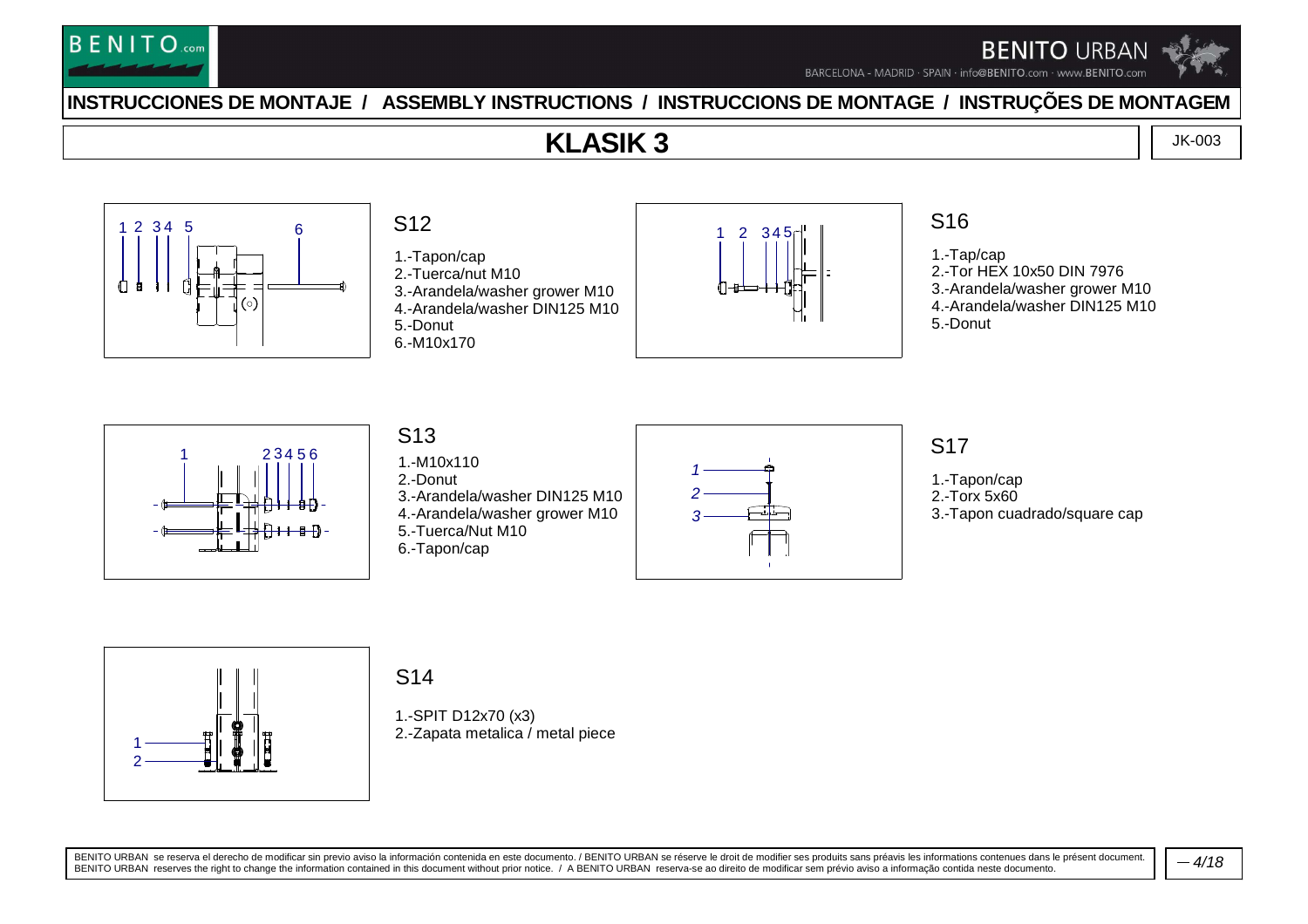

BARCELONA - MADRID · SPAIN · info@BENITO.com · www.BENITO.com

### **INSTRUCCIONES DE MONTAJE / ASSEMBLY INSTRUCTIONS / INSTRUCCIONS DE MONTAGE / INSTRUÇÕES DE MONTAGEM**

### **KLASIK 3**

JK-003



### S12

1.-Tapon/cap 2.-Tuerca/nut M10 3.-Arandela/washer grower M10 4.-Arandela/washer DIN125 M105.-Donut6.-M10x170



### S16

1.-Tap/cap 2.-Tor HEX 10x50 DIN 7976 3.-Arandela/washer grower M10 4.-Arandela/washer DIN125 M105.-Donut



#### S13 1.-M10x1102.-Donut 3.-Arandela/washer DIN125 M10 4.-Arandela/washer grower M105.-Tuerca/Nut M106.-Tapon/cap



### S17

1.-Tapon/cap

- 2.-Torx 5x60
- 3.-Tapon cuadrado/square cap



#### S14

1.-SPIT D12x70 (x3)2.-Zapata metalica / metal piece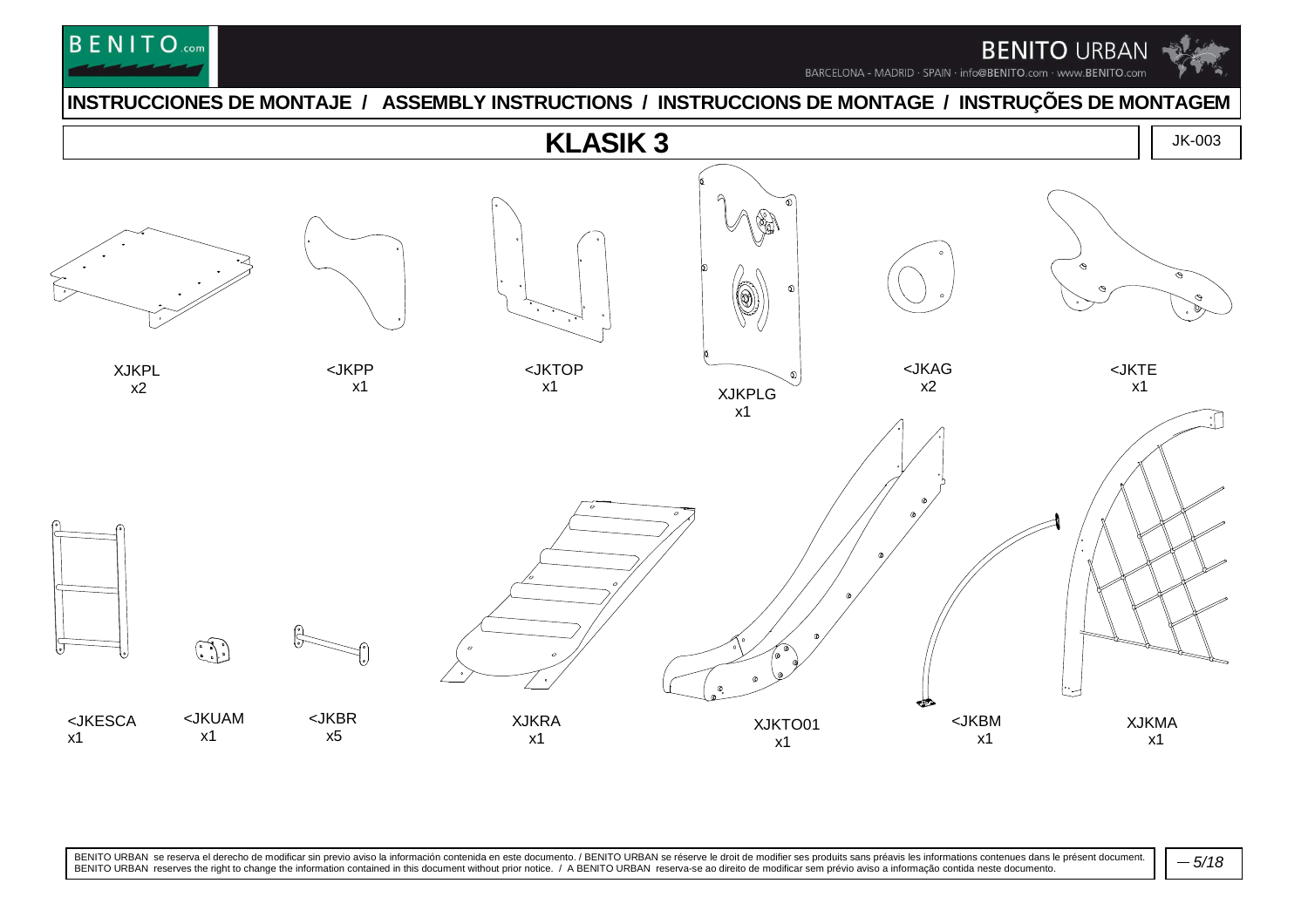

BARCELONA - MADRID · SPAIN · info@BENITO.com · www.BENITO.com

#### **INSTRUCCIONES DE MONTAJE / ASSEMBLY INSTRUCTIONS / INSTRUCCIONS DE MONTAGE / INSTRUÇÕES DE MONTAGEM**

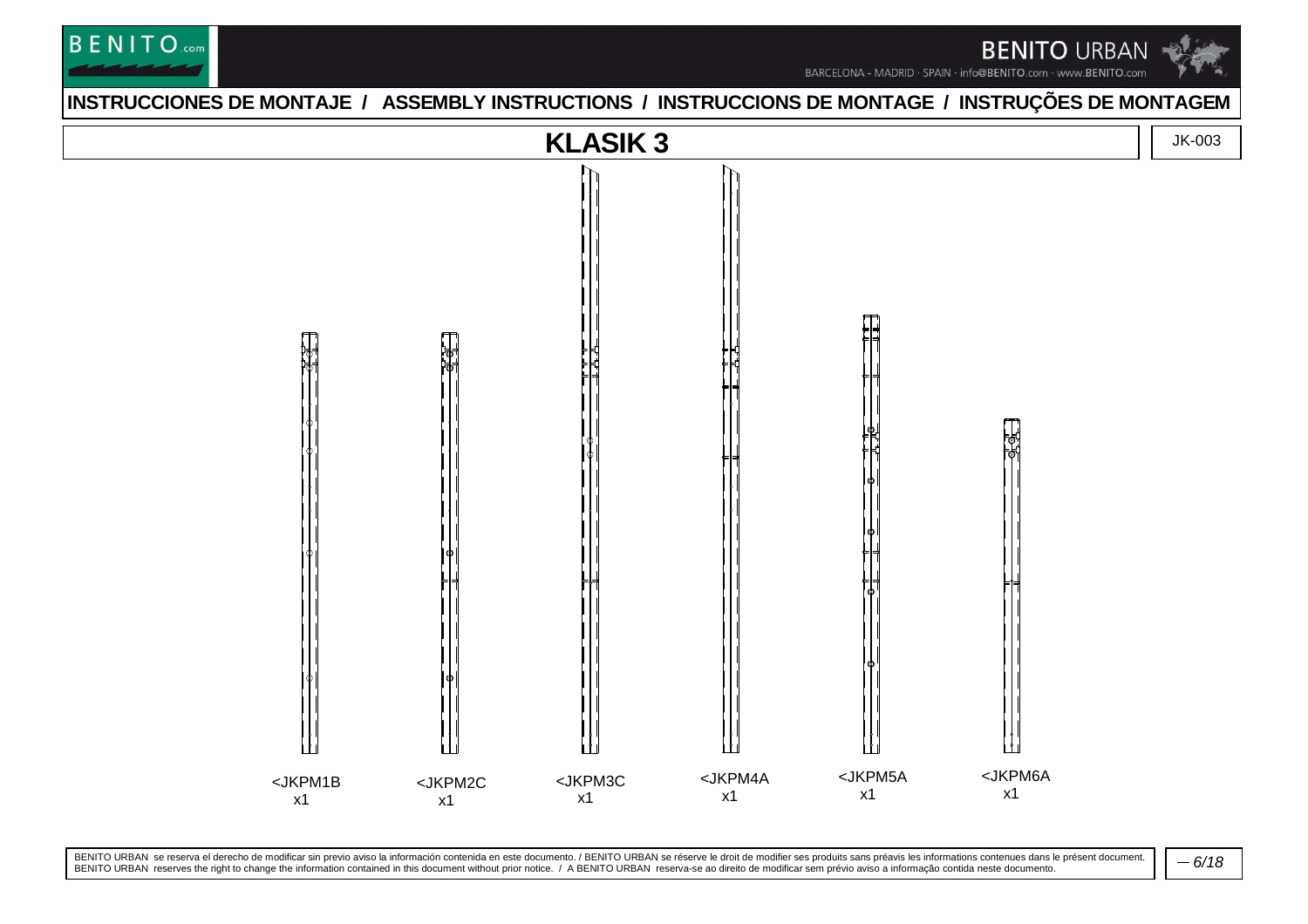



#### **INSTRUCCIONES DE MONTAJE / ASSEMBLY INSTRUCTIONS / INSTRUCCIONS DE MONTAGE / INSTRUÇÕES DE MONTAGEM**

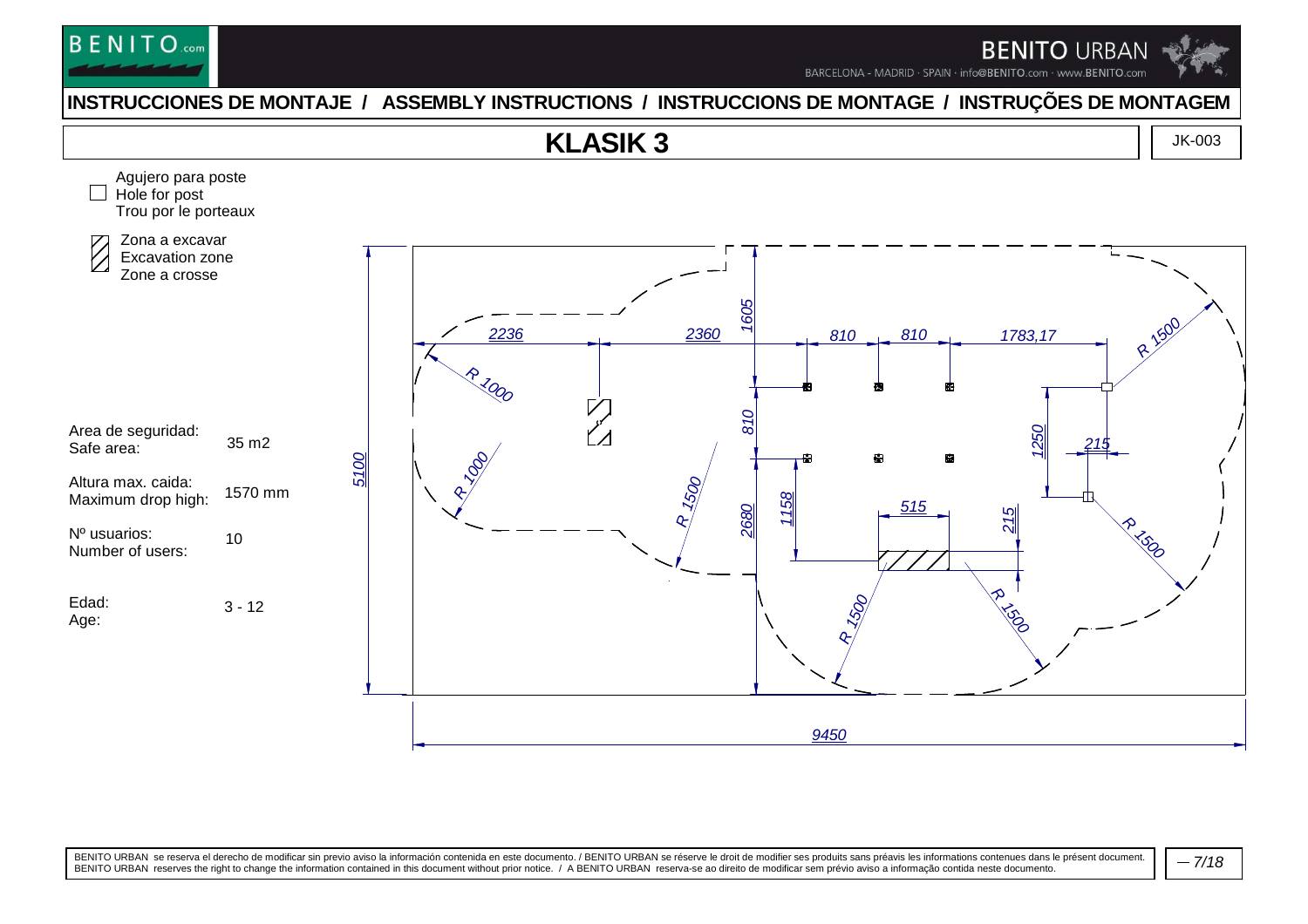

BARCELONA - MADRID · SPAIN · info@BENITO.com · www.BENITO.com

#### **INSTRUCCIONES DE MONTAJE / ASSEMBLY INSTRUCTIONS / INSTRUCCIONS DE MONTAGE / INSTRUÇÕES DE MONTAGEM**

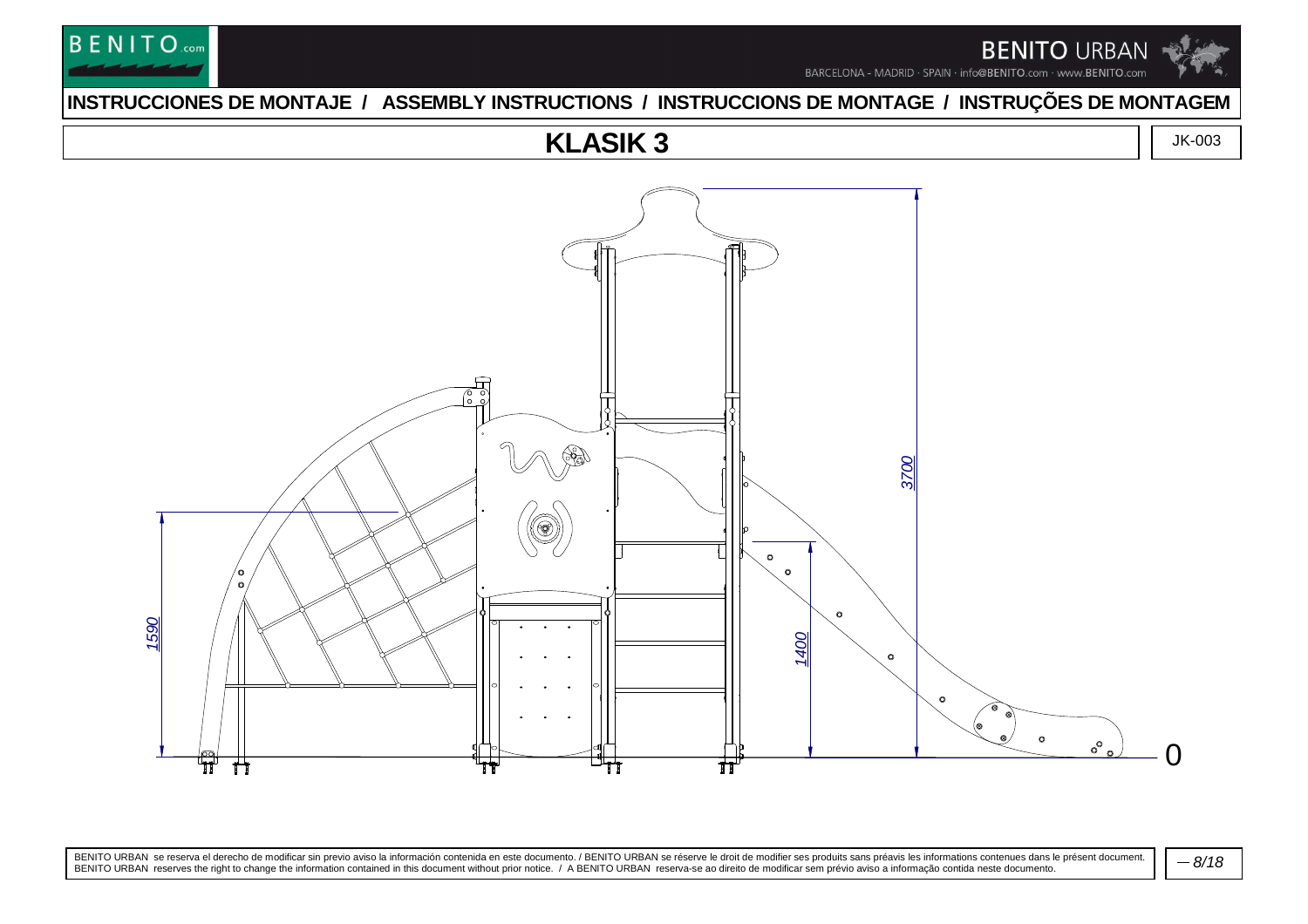



### **INSTRUCCIONES DE MONTAJE / ASSEMBLY INSTRUCTIONS / INSTRUCCIONS DE MONTAGE / INSTRUÇÕES DE MONTAGEM**

### **KLASIK 3**



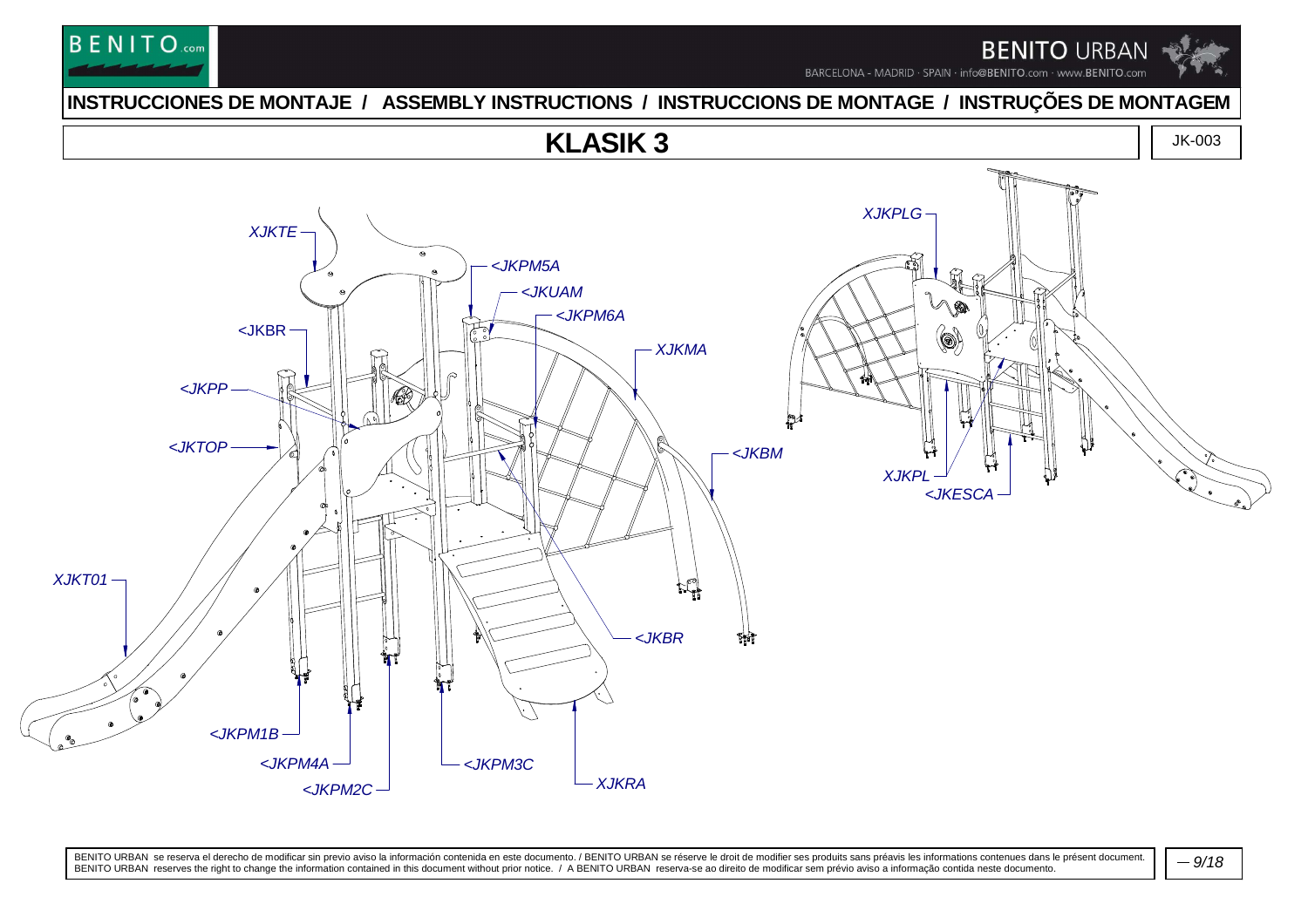

# **BENITO**.com

**INSTRUCCIONES DE MONTAJE / ASSEMBLY INSTRUCTIONS / INSTRUCCIONS DE MONTAGE / INSTRUÇÕES DE MONTAGEM**

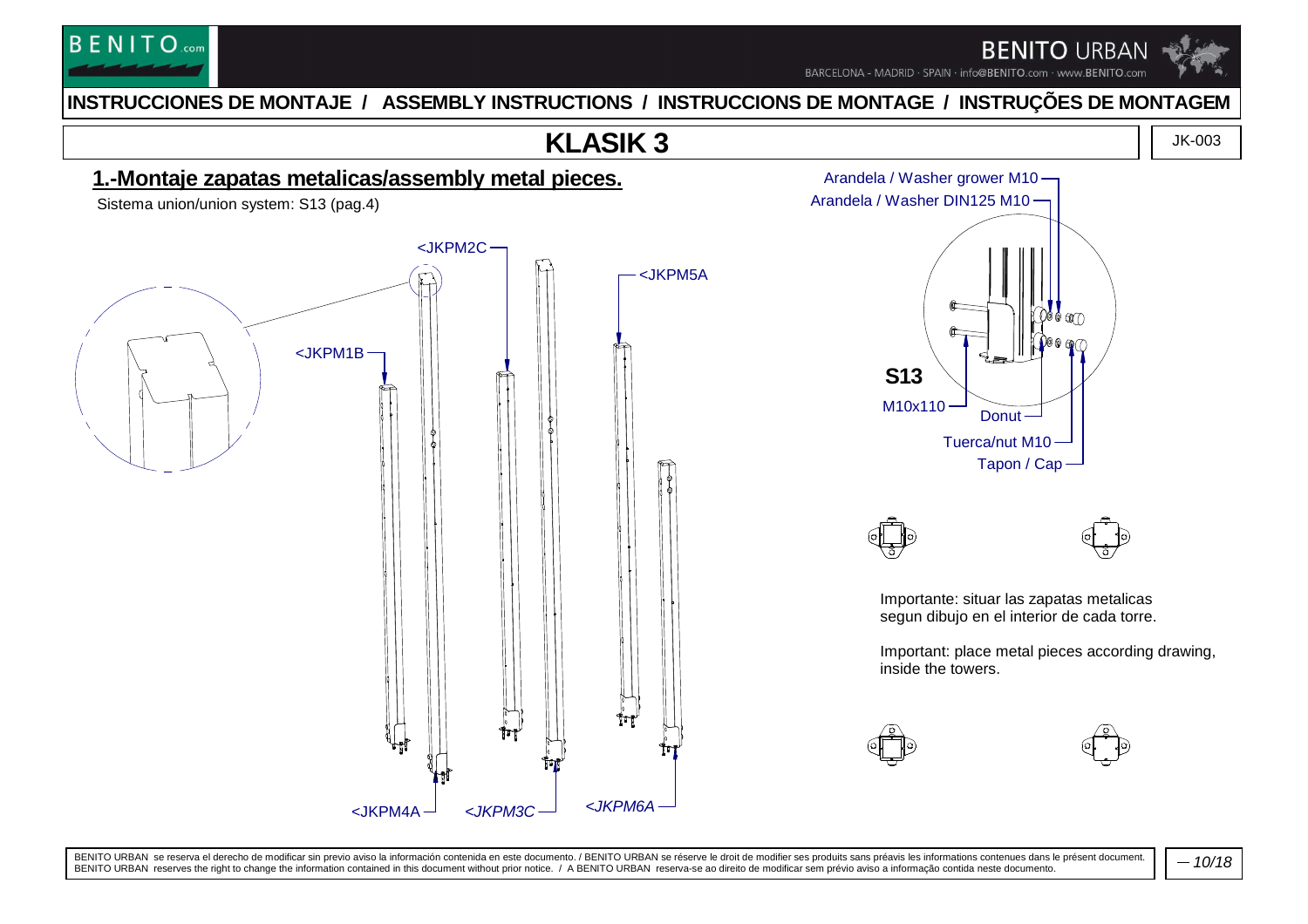

BARCELONA - MADRID · SPAIN · info@BENITO.com · www.BENITO.com

### **INSTRUCCIONES DE MONTAJE / ASSEMBLY INSTRUCTIONS / INSTRUCCIONS DE MONTAGE / INSTRUÇÕES DE MONTAGEM**

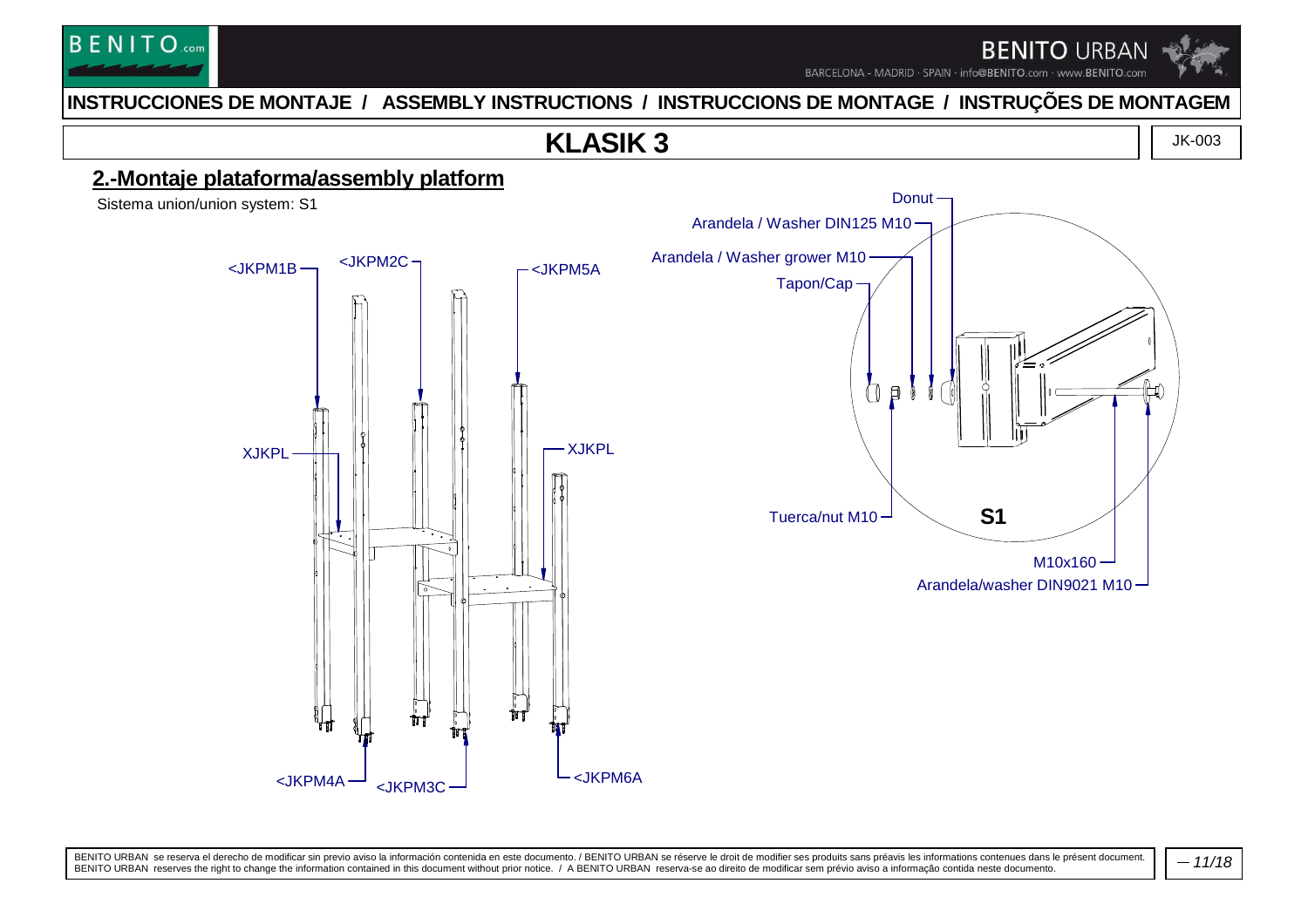

BARCELONA - MADRID · SPAIN · info@BENITO.com · www.BENITO.com

Donut -

### **INSTRUCCIONES DE MONTAJE / ASSEMBLY INSTRUCTIONS / INSTRUCCIONS DE MONTAGE / INSTRUÇÕES DE MONTAGEM**

### **KLASIK 3**



### **2.-Montaje plataforma/assembly platform**

Sistema union/union system: S1

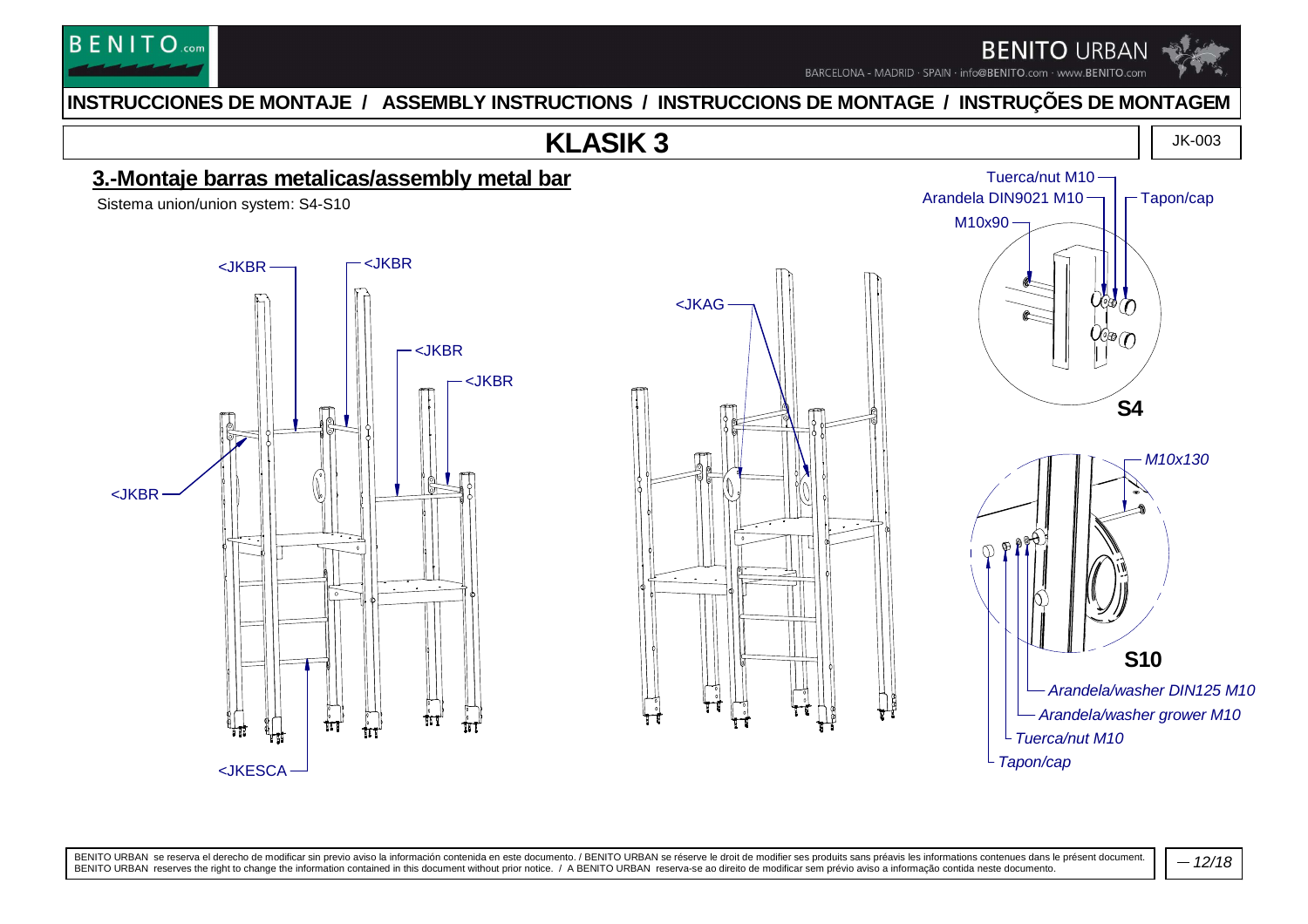

BARCELONA - MADRID · SPAIN · info@BENITO.com · www.BENITO.com

#### **INSTRUCCIONES DE MONTAJE / ASSEMBLY INSTRUCTIONS / INSTRUCCIONS DE MONTAGE / INSTRUÇÕES DE MONTAGEM**



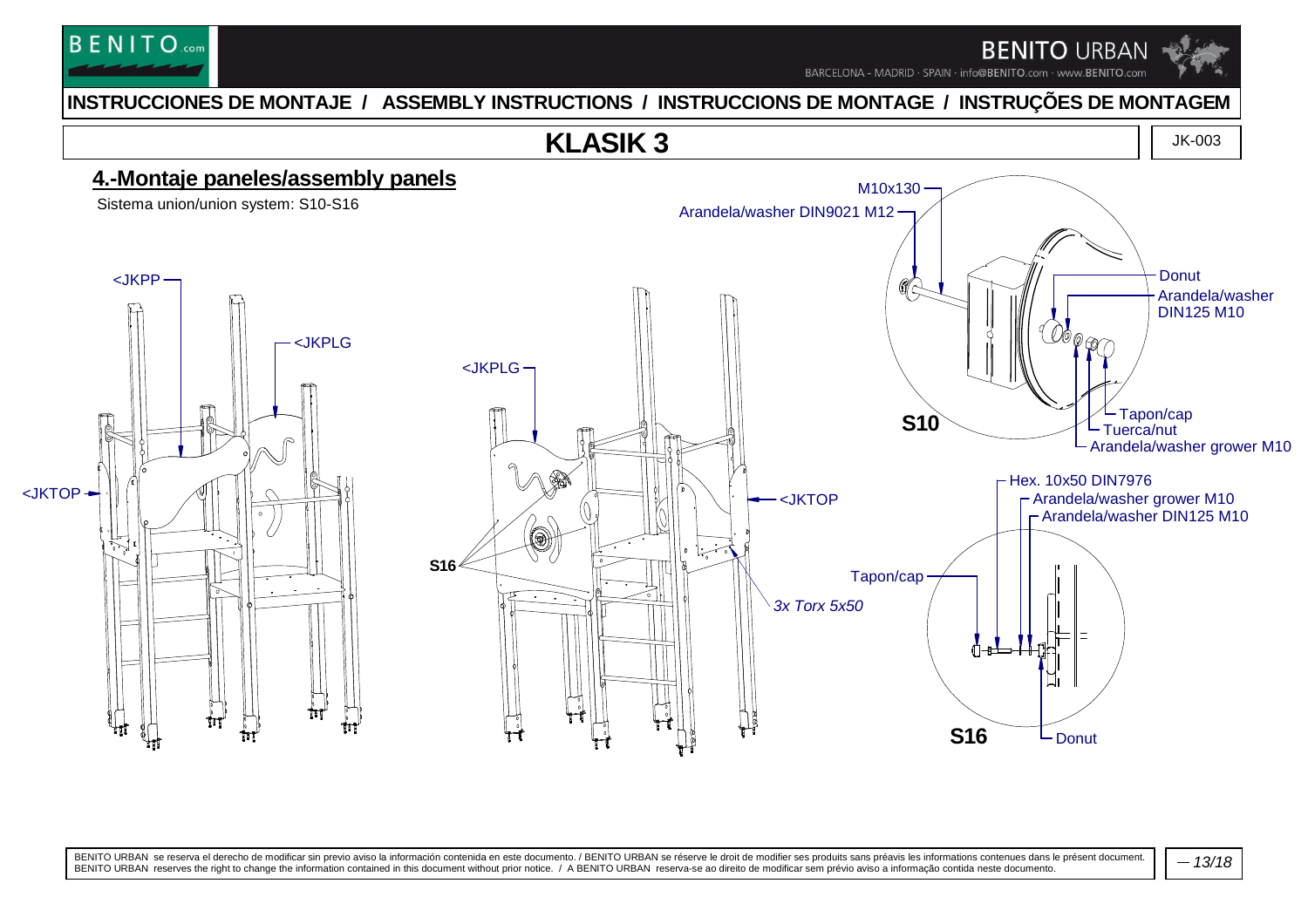

BARCELONA - MADRID · SPAIN · info@BENITO.com · www.BENITO.com

#### **INSTRUCCIONES DE MONTAJE / ASSEMBLY INSTRUCTIONS / INSTRUCCIONS DE MONTAGE / INSTRUÇÕES DE MONTAGEM**

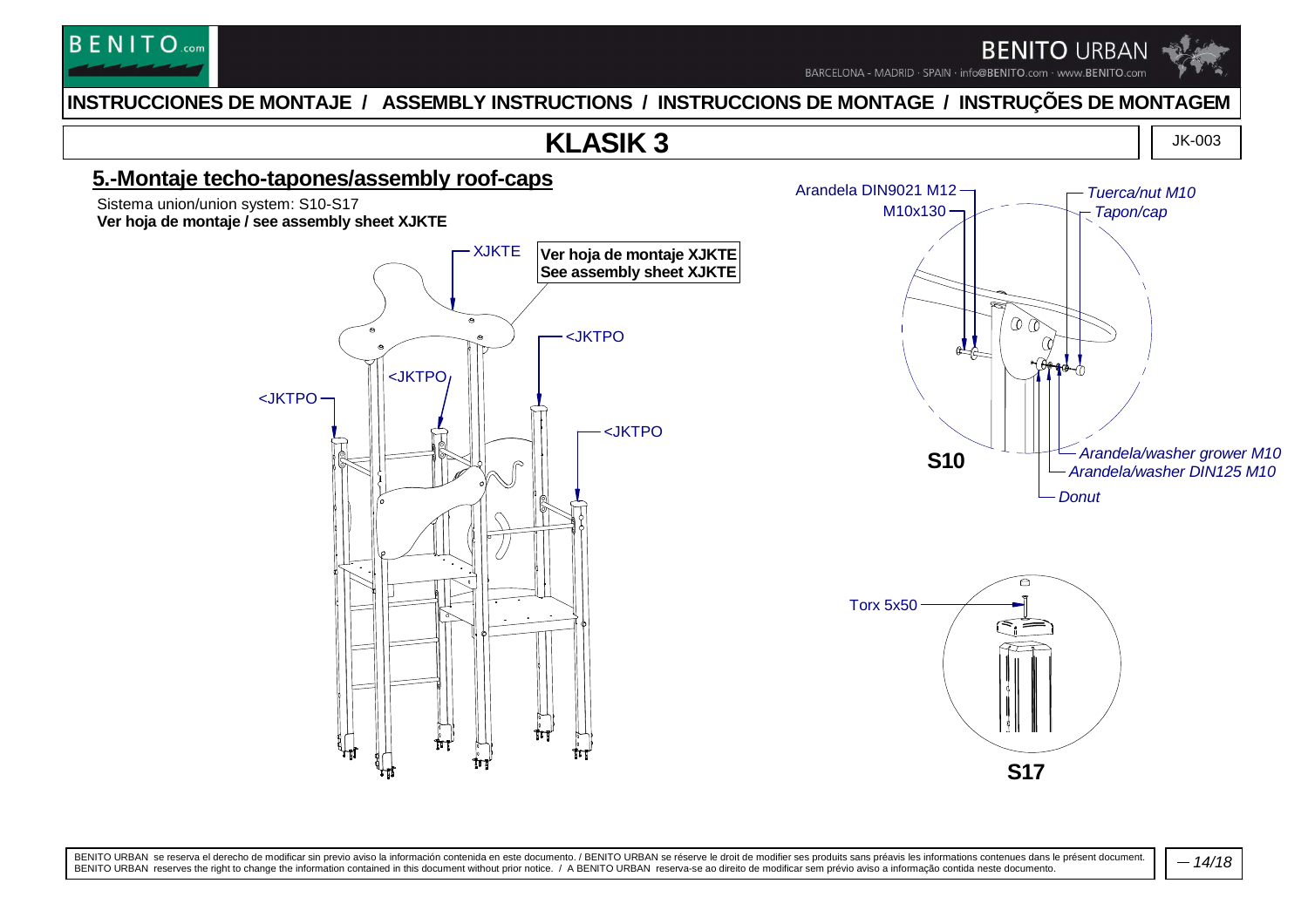

BARCELONA - MADRID · SPAIN · info@BENITO.com · www.BENITO.com

#### **INSTRUCCIONES DE MONTAJE / ASSEMBLY INSTRUCTIONS / INSTRUCCIONS DE MONTAGE / INSTRUÇÕES DE MONTAGEM**

### **KLASIK 3**

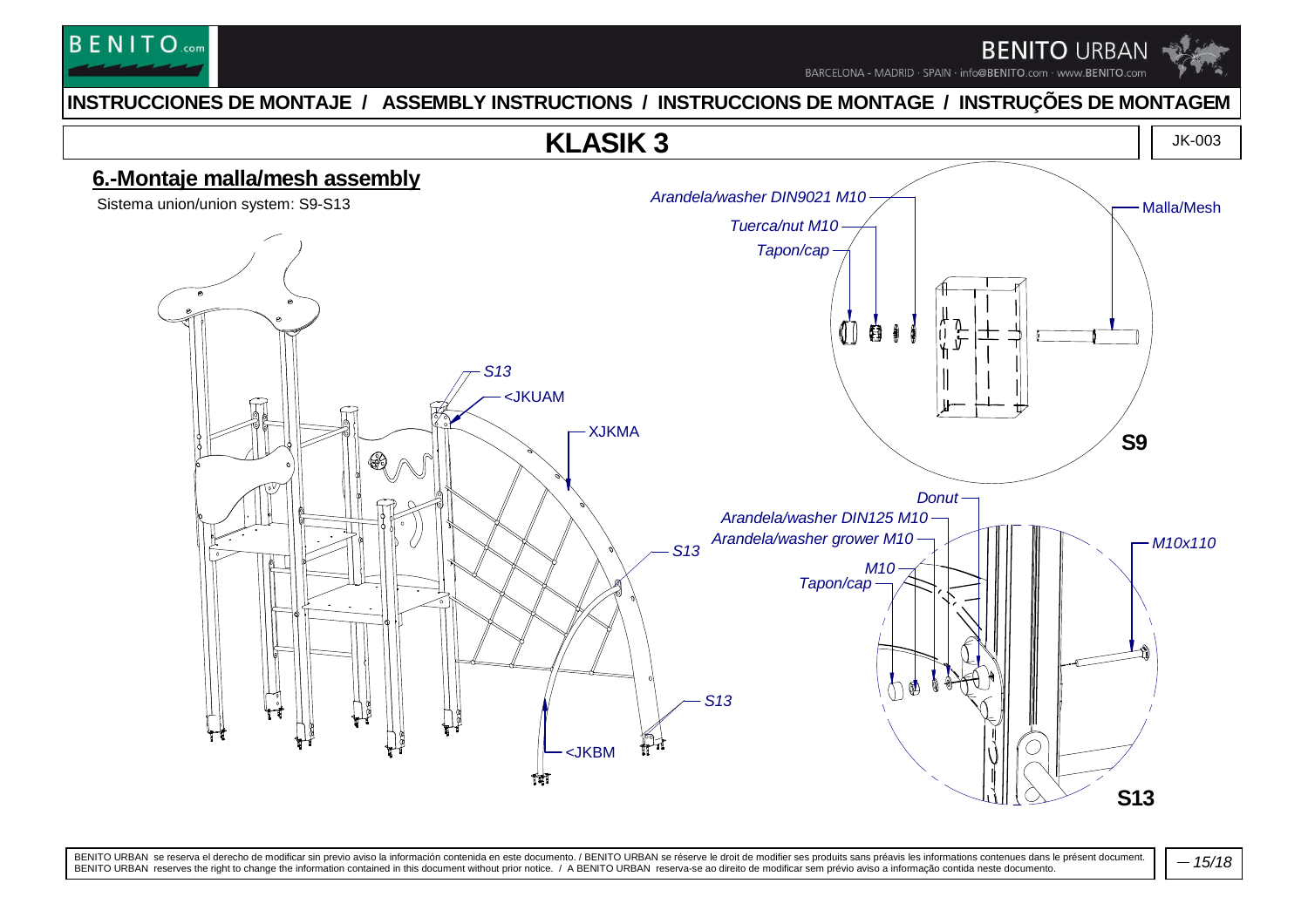

BARCELONA - MADRID · SPAIN · info@BENITO.com · www.BENITO.com

#### **INSTRUCCIONES DE MONTAJE / ASSEMBLY INSTRUCTIONS / INSTRUCCIONS DE MONTAGE / INSTRUÇÕES DE MONTAGEM**

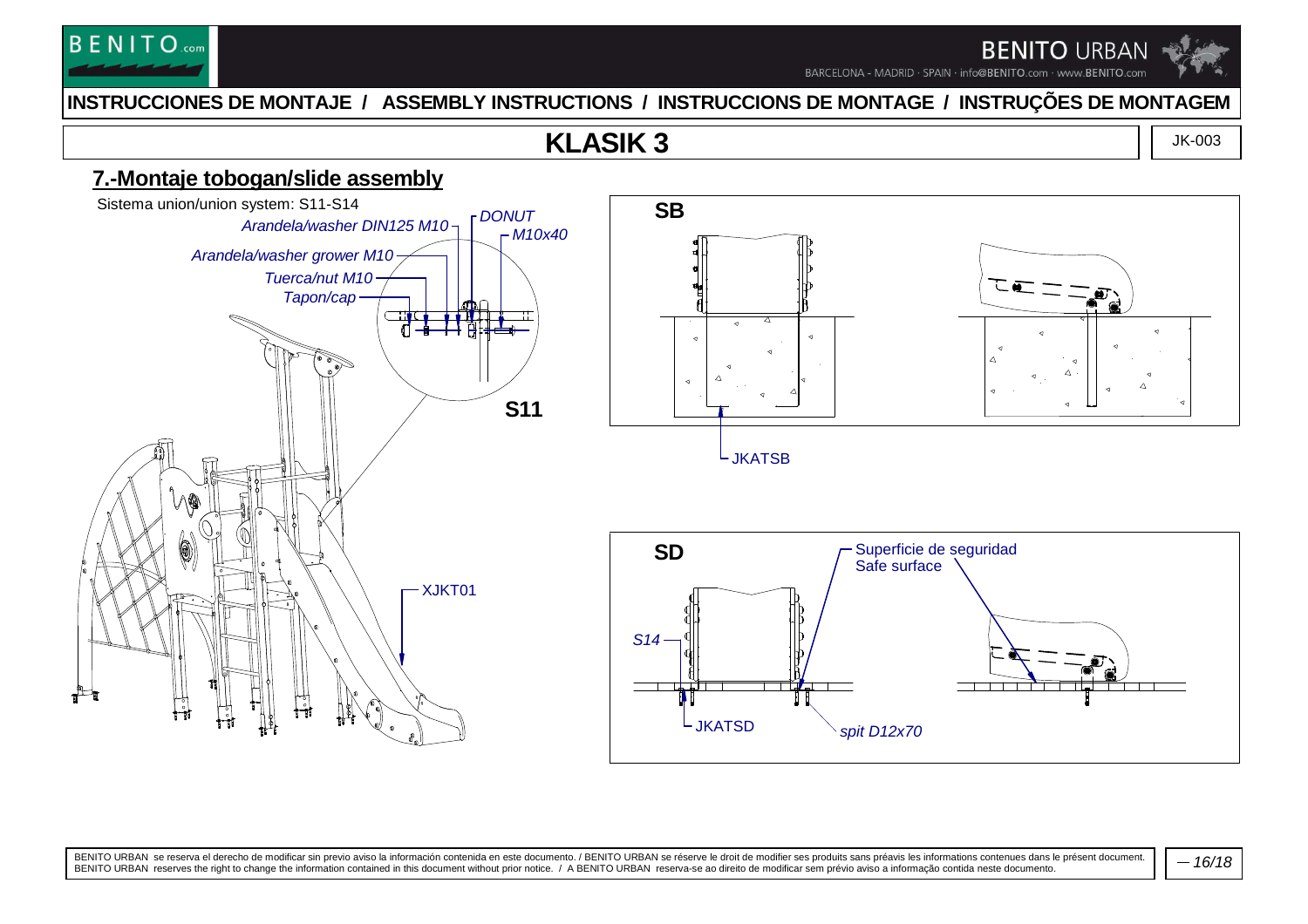

BARCELONA - MADRID · SPAIN · info@BENITO.com · www.BENITO.com

#### **INSTRUCCIONES DE MONTAJE / ASSEMBLY INSTRUCTIONS / INSTRUCCIONS DE MONTAGE / INSTRUÇÕES DE MONTAGEM**

### **KLASIK 3**

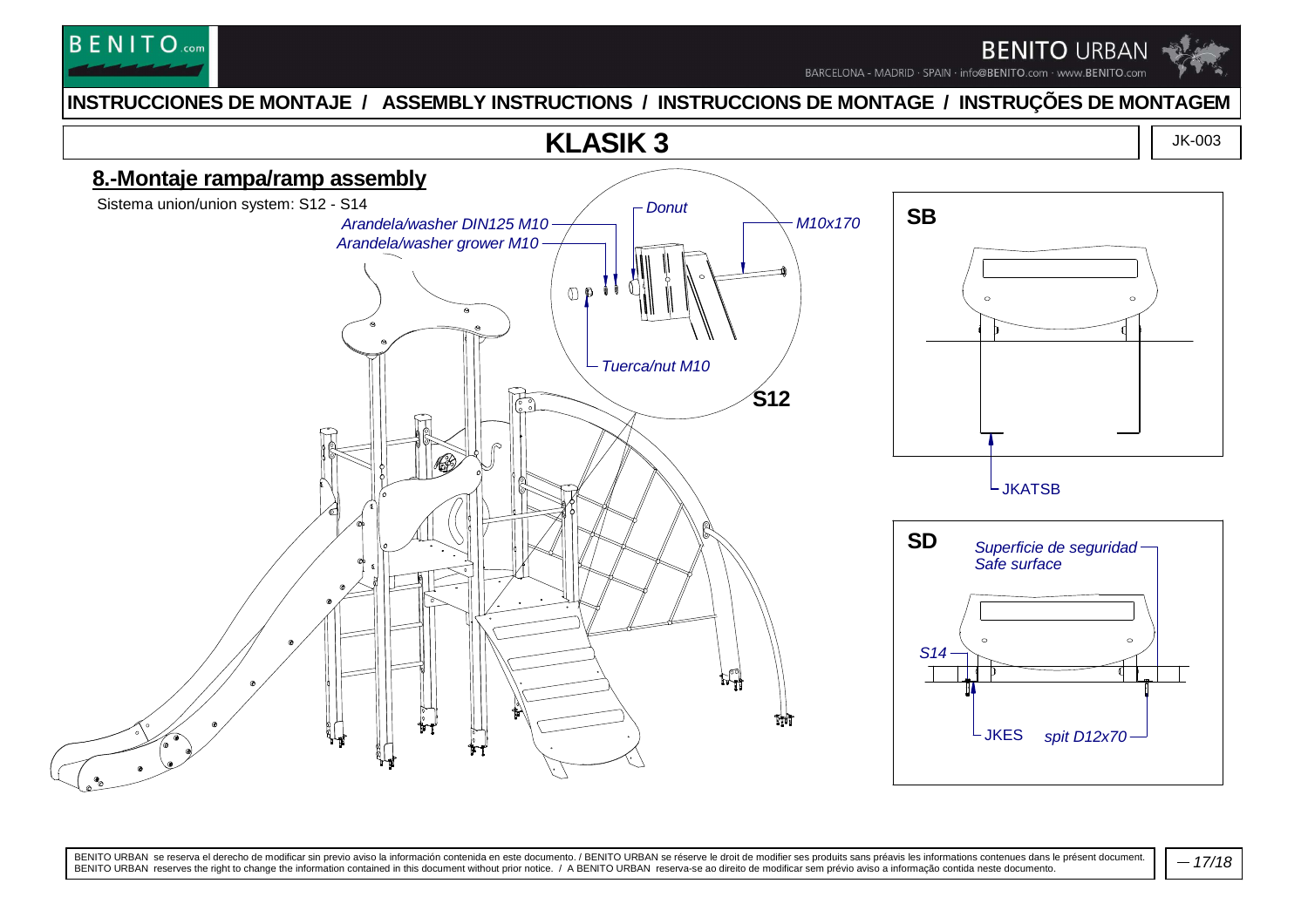

BARCELONA - MADRID · SPAIN · info@BENITO.com · www.BENITO.com

#### **INSTRUCCIONES DE MONTAJE / ASSEMBLY INSTRUCTIONS / INSTRUCCIONS DE MONTAGE / INSTRUÇÕES DE MONTAGEM**



BENITO URBAN se reserva el derecho de modificar sin previo aviso la información contenida en este documento. / BENITO URBAN se réserve le droit de modifier ses produits sans préavis les informations contenues dans le prése

 $-17/18$